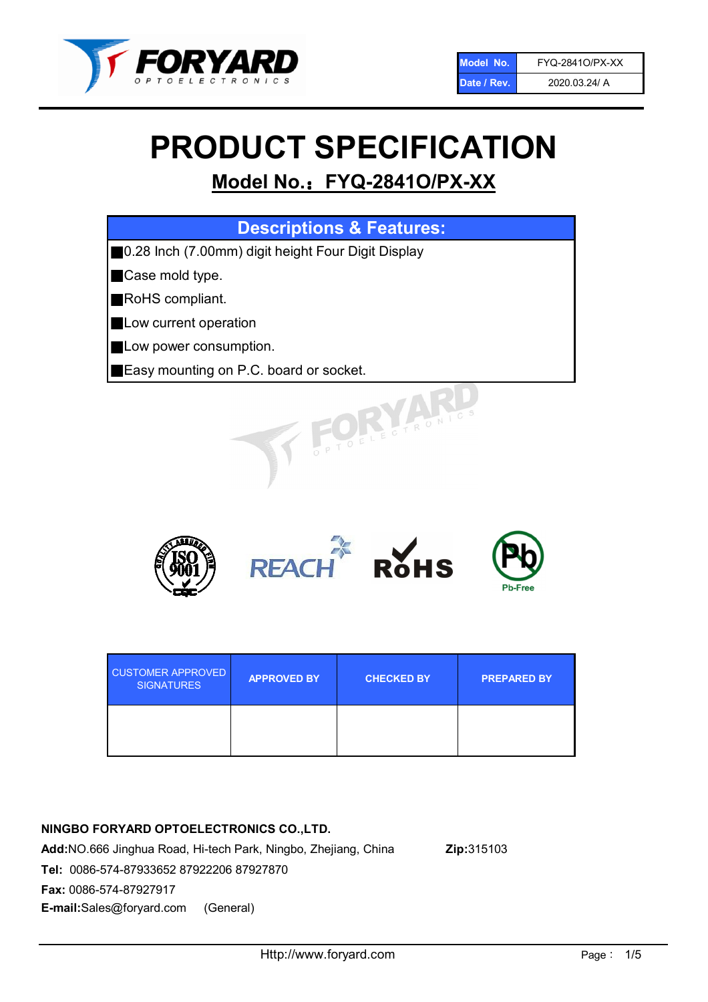

# PRODUCT SPECIFICATION

# Model No.: FYQ-2841O/PX-XX

| <b>Descriptions &amp; Features:</b>                 |
|-----------------------------------------------------|
| ■0.28 Inch (7.00mm) digit height Four Digit Display |
| Case mold type.                                     |
| RoHS compliant.                                     |
| Low current operation                               |
| Low power consumption.                              |
| Easy mounting on P.C. board or socket.              |
| PTOELECTRONIC                                       |



| <b>CUSTOMER APPROVED</b><br><b>SIGNATURES</b> | <b>APPROVED BY</b> | <b>CHECKED BY</b> | <b>PREPARED BY</b> |
|-----------------------------------------------|--------------------|-------------------|--------------------|
|                                               |                    |                   |                    |

## NINGBO FORYARD OPTOELECTRONICS CO.,LTD.

Add:NO.666 Jinghua Road, Hi-tech Park, Ningbo, Zhejiang, China Zip:315103 Tel: 0086-574-87933652 87922206 87927870 Fax: 0086-574-87927917 E-mail:Sales@foryard.com (General)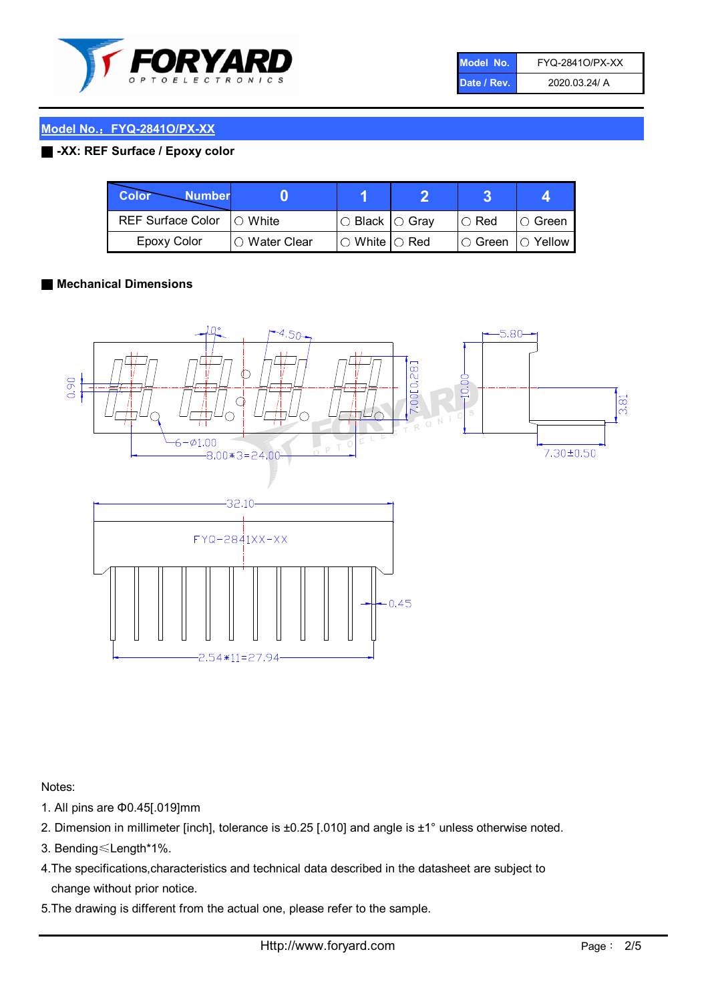

| Model No.   | FYQ-28410/PX-XX |
|-------------|-----------------|
| Date / Rev. | 2020.03.24/ A   |

# Model No.: FYQ-2841O/PX-XX

#### ■ -XX: REF Surface / Epoxy color

| Color<br><b>Number</b>      |                |                                                   |                              |               |
|-----------------------------|----------------|---------------------------------------------------|------------------------------|---------------|
| REF Surface Color   O White |                | $\circ$ Black $\circ$ Gray                        | $\cup$ Red                   | $\circ$ Green |
| Epoxy Color                 | I∩ Water Clear | $\mathbin{\varcap}$ White $\mathbin{\varcap}$ Red | $\circ$ Green $\circ$ Yellow |               |

#### ■ Mechanical Dimensions



Notes:

- 1. All pins are Φ0.45[.019]mm
- 2. Dimension in millimeter [inch], tolerance is ±0.25 [.010] and angle is ±1° unless otherwise noted.
- 3. Bending≤Length\*1%.
- 4.The specifications,characteristics and technical data described in the datasheet are subject to change without prior notice.
- 5.The drawing is different from the actual one, please refer to the sample.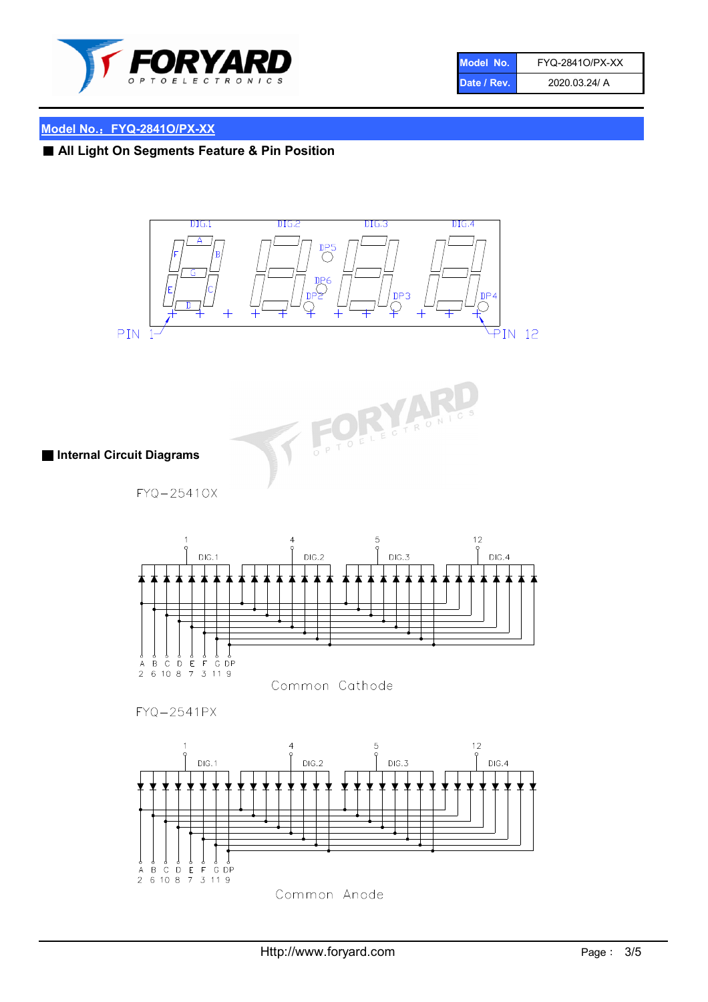

| Model No.   | FYQ-28410/PX-XX |
|-------------|-----------------|
| Date / Rev. | 2020.03.24/ A   |

# Model No.: FYQ-2841O/PX-XX

■ All Light On Segments Feature & Pin Position









THE PARTIES

FYQ-2541PX

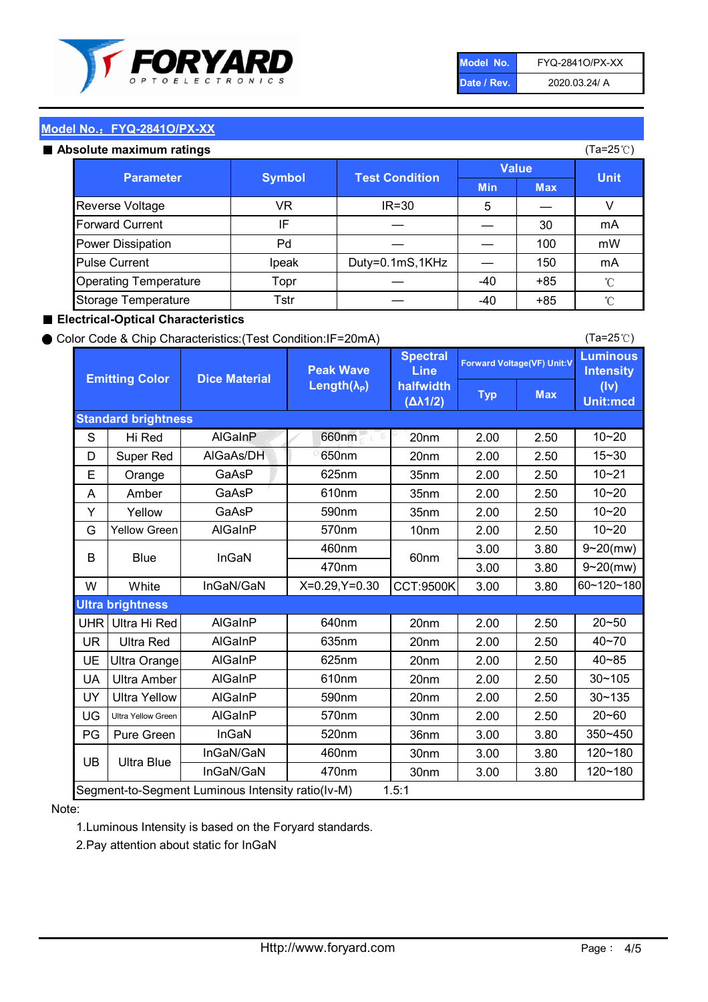

| Model No.   | FYQ-28410/PX-XX |
|-------------|-----------------|
| Date / Rev. | 2020.03.24/ A   |

(Ta=25℃)

### Model No.: FYQ-2841O/PX-XX

#### Absolute maximum

| solute maximum ratings       |               |                       |              |            | (Ta=25℃)    |
|------------------------------|---------------|-----------------------|--------------|------------|-------------|
| <b>Parameter</b>             | <b>Symbol</b> |                       | <b>Value</b> |            |             |
|                              |               | <b>Test Condition</b> | <b>Min</b>   | <b>Max</b> | <b>Unit</b> |
| Reverse Voltage              | VR            | $IR = 30$             | 5            |            |             |
| <b>Forward Current</b>       | IF            |                       |              | 30         | mA          |
| Power Dissipation            | Pd            |                       |              | 100        | mW          |
| <b>Pulse Current</b>         | Ipeak         | Duty=0.1mS,1KHz       |              | 150        | mA          |
| <b>Operating Temperature</b> | Topr          |                       | $-40$        | $+85$      | °C          |
| Storage Temperature          | Tstr          |                       | -40          | $+85$      | °C          |

#### ■ Electrical-Optical Characteristics

#### ● Color Code & Chip Characteristics:(Test Condition:IF=20mA)

Typ Max S | Hi $\textsf{Red}$  | AlGaInP | 660nm LE 20nm | 2.00 | 2.50 D | Super Red | AIGaAs/DH | 650nm | 20nm | 2.00 | 2.50 E | Orange | GaAsP | 625nm | 35nm | 2.00 | 2.50 A | Amber | GaAsP | 610nm | 35nm | 2.00 | 2.50 Y | Yellow | GaAsP | 590nm | 35nm | 2.00 | 2.50 G Yellow Green AIGaInP | 570nm | 10nm | 2.00 | 2.50 3.00 3.80 3.00 3.80 W | White | InGaN/GaN | X=0.29,Y=0.30 |CCT:9500K| 3.00 | 3.80 UHR Ultra Hi Red  $\vert$  AIGaInP  $\vert$  640nm  $\vert$  20nm  $\vert$  2.00  $\vert$  2.50 UR | Ultra Red | AlGaInP | 635nm | 20nm | 2.00 | 2.50 UE Ultra Orange | AIGaInP | 625nm | 20nm | 2.00 | 2.50 UA Ultra Amber | AIGaInP | 610nm | 20nm | 2.00 | 2.50  $UV$  Ultra Yellow  $\vert$  AlGaInP  $\vert$  590nm  $\vert$  20nm  $\vert$  2.00  $\vert$  2.50  $\text{UG}$  Ultra Yellow Green | AIGaInP | 570nm | 30nm | 2.00 | 2.50 PG | Pure Green | InGaN | 520nm | 36nm | 3.00 | 3.80 30nm 3.00 3.80 30nm 3.00 3.80 40~85 60~120~180 40~70 Segment-to-Segment Luminous Intensity ratio(Iv-M) 1.5:1 610nm 9~20(mw) 350~450 470nm 120~180 120~180 Ultra Blue InGaN/GaN 9~20(mw) 20~50 570nm | 30nm | 2.00 | 2.50 | 20~60 470nm 590nm InGaN/GaN B Blue I InGaN 570nm | 10nm | 2.00 | 2.50 | 10~20 30~105 30~135 460nm 520nm Ultra brightness **AlGaInP** AlGaInP 60nm AlGaInP 640nm Peak Wave Length $(\lambda_{\rm P})$ UB 460nm 635nm AlGaInP AlGaInP AlGaInP InGaN/GaN AlGaInP 10~20 Luminous **Intensity** (Iv) Unit:mcd AlGainP 660nm GaAsP GaAsP AlGaAs/DH **Spectral** Line halfwidth (∆λ1/2) 10~20 Standard brightness Forward Voltage(VF) Unit:V 15~30 10~20 625nm GaAsP 590nm **Emitting Color Dice Material** 10~21 610nm

#### Note:

1.Luminous Intensity is based on the Foryard standards.

2.Pay attention about static for InGaN